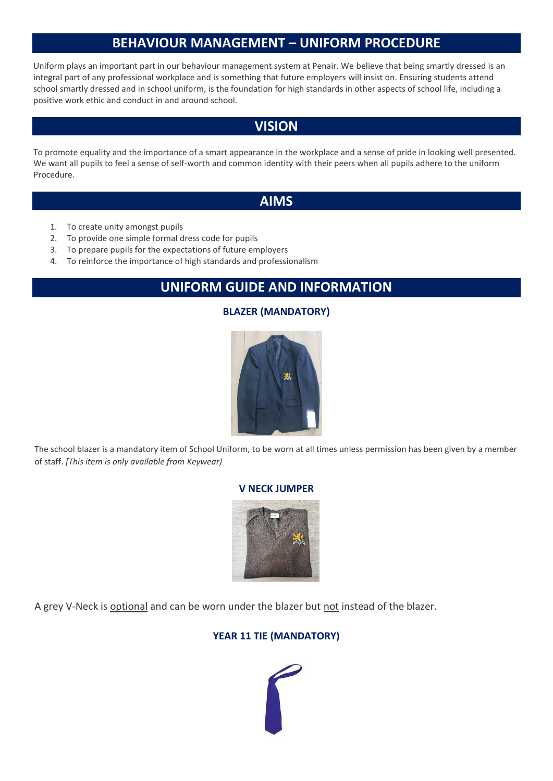# **BEHAVIOUR MANAGEMENT – UNIFORM PROCEDURE**

Uniform plays an important part in our behaviour management system at Penair. We believe that being smartly dressed is an integral part of any professional workplace and is something that future employers will insist on. Ensuring students attend school smartly dressed and in school uniform, is the foundation for high standards in other aspects of school life, including a positive work ethic and conduct in and around school.

## **VISION**

To promote equality and the importance of a smart appearance in the workplace and a sense of pride in looking well presented. We want all pupils to feel a sense of self-worth and common identity with their peers when all pupils adhere to the uniform Procedure.

## **AIMS**

- 1. To create unity amongst pupils
- 2. To provide one simple formal dress code for pupils
- 3. To prepare pupils for the expectations of future employers
- 4. To reinforce the importance of high standards and professionalism

## **UNIFORM GUIDE AND INFORMATION**

## **BLAZER (MANDATORY)**



The school blazer is a mandatory item of School Uniform, to be worn at all times unless permission has been given by a member of staff. *[This item is only available from Keywear)*

### **V NECK JUMPER**



A grey V-Neck is optional and can be worn under the blazer but not instead of the blazer.

### **YEAR 11 TIE (MANDATORY)**

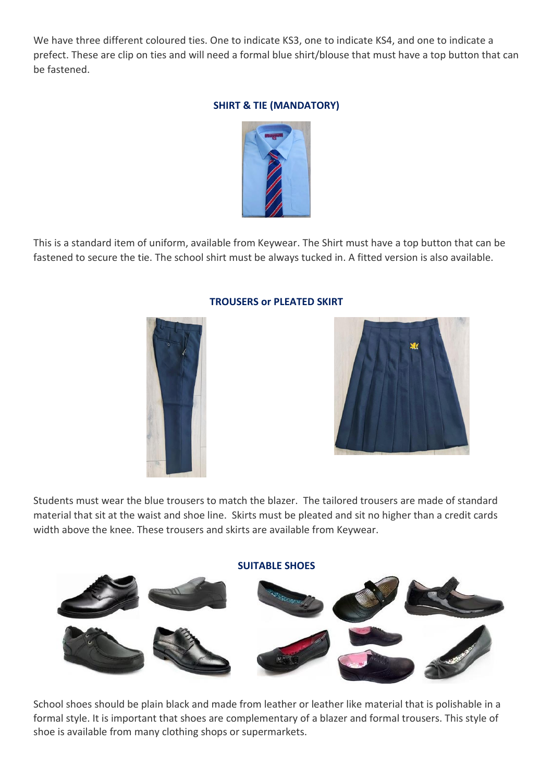We have three different coloured ties. One to indicate KS3, one to indicate KS4, and one to indicate a prefect. These are clip on ties and will need a formal blue shirt/blouse that must have a top button that can be fastened.

#### **SHIRT & TIE (MANDATORY)**



This is a standard item of uniform, available from Keywear. The Shirt must have a top button that can be fastened to secure the tie. The school shirt must be always tucked in. A fitted version is also available.



#### **TROUSERS or PLEATED SKIRT**



Students must wear the blue trousers to match the blazer. The tailored trousers are made of standard material that sit at the waist and shoe line. Skirts must be pleated and sit no higher than a credit cards width above the knee. These trousers and skirts are available from Keywear.



School shoes should be plain black and made from leather or leather like material that is polishable in a formal style. It is important that shoes are complementary of a blazer and formal trousers. This style of shoe is available from many clothing shops or supermarkets.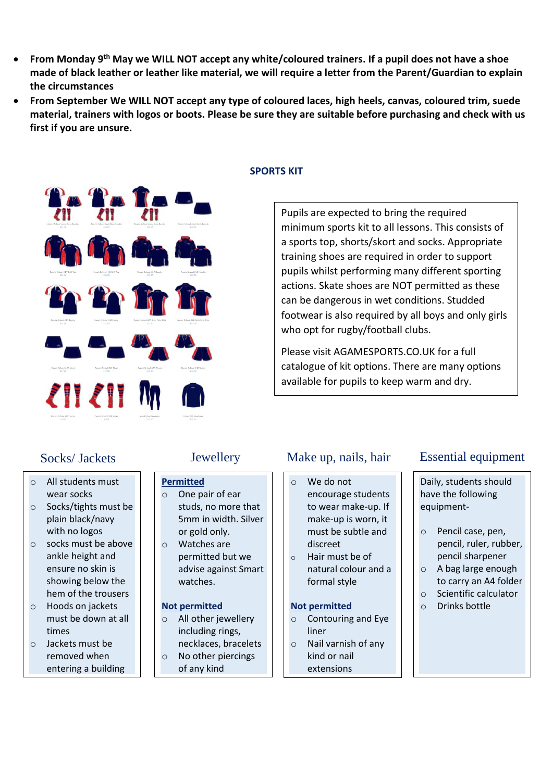- **From Monday 9th May we WILL NOT accept any white/coloured trainers. If a pupil does not have a shoe made of black leather or leather like material, we will require a letter from the Parent/Guardian to explain the circumstances**
- **From September We WILL NOT accept any type of coloured laces, high heels, canvas, coloured trim, suede material, trainers with logos or boots. Please be sure they are suitable before purchasing and check with us first if you are unsure.**



#### **SPORTS KIT**

Pupils are expected to bring the required minimum sports kit to all lessons. This consists of a sports top, shorts/skort and socks. Appropriate training shoes are required in order to support pupils whilst performing many different sporting actions. Skate shoes are NOT permitted as these can be dangerous in wet conditions. Studded footwear is also required by all boys and only girls who opt for rugby/football clubs.

Please visit AGAMESPORTS.CO.UK for a full catalogue of kit options. There are many options available for pupils to keep warm and dry.

## Socks/ Jackets

- o All students must wear socks
- o Socks/tights must be plain black/navy with no logos
- o socks must be above ankle height and ensure no skin is showing below the hem of the trousers
- o Hoods on jackets must be down at all times
- o Jackets must be removed when entering a building

- **Permitted** o One pair of ear studs, no more that 5mm in width. Silver or gold only.
- o Watches are permitted but we advise against Smart watches.

#### **Not permitted**

- o All other jewellery including rings, necklaces, bracelets
- o No other piercings of any kind

- o We do not encourage students to wear make-up. If make-up is worn, it must be subtle and discreet
- o Hair must be of natural colour and a formal style

#### **Not permitted**

- o Contouring and Eye liner
- o Nail varnish of any kind or nail extensions

## Jewellery Make up, nails, hair Essential equipment

Daily, students should have the following equipment-

- o Pencil case, pen, pencil, ruler, rubber, pencil sharpener
- o A bag large enough
- to carry an A4 folder o Scientific calculator
- o Drinks bottle